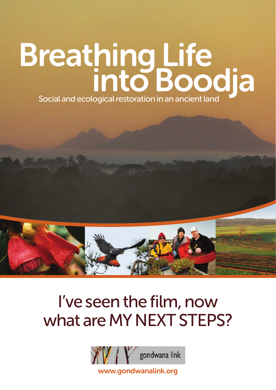# Breathing Life<br>into Boodja Social and ecological restoration in an ancient land



# I've seen the film, now what are MY NEXT STEPS?



[www.gondwanalink.org](http://www.gondwanalink.org)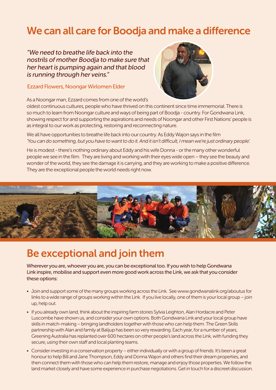# We can all care for Boodja and make a difference

"We need to breathe life back into the nostrils of mother Boodja to make sure that her heart is pumping again and that blood is running through her veins."

### Ezzard Flowers, Noongar Wirlomen Elder



As a Noongar man, Ezzard comes from one of the world's

oldest continuous cultures, people who have thrived on this continent since time immemorial. There is so much to learn from Noongar culture and ways of being part of Boodja - country. For Gondwana Link, showing respect for and supporting the aspirations and needs of Noongar and other First Nations' people is as integral to our work as protecting, restoring and reconnecting nature.

We all have opportunities to breathe life back into our country. As Eddy Wajon says in the film 'You can do something, but you have to want to do it. And it isn't difficult, I mean we're just ordinary people'.

He is modest - there's nothing ordinary about Eddy and his wife Donna - or the many other wonderful people we see in the film. They are living and working with their eyes wide open – they see the beauty and wonder of the world, they see the damage it is carrying, and they are working to make a positive difference. They are the exceptional people the world needs right now.



# Be exceptional and join them

Wherever you are, whoever you are, you can be exceptional too. If you wish to help Gondwana Link inspire, mobilise and support even more good work across the Link, we ask that you consider these options:

- Join and support some of the many groups working across the Link. See www.gondwanalink.org/aboutus for links to a wide range of groups working within the Link. If you live locally, one of them is your local group – join up, help out.
- If you already own land, think about the inspiring farm stories Sylvia Leighton, Alan Hordacre and Peter Luscombe have shown us, and consider your own options. Both Gondwana Link and your local group have skills in match-making – bringing landholders together with those who can help them. The Green Skills partnership with Alan and family at Balijup has been so very rewarding. Each year, for a number of years, Greening Australia has replanted over 600 hectares on other people's land across the Link, with funding they secure, using their own staff and local planting teams.
- Consider investing in a conservation property either individually or with a group of friends. It's been a great honour to help Bill and Jane Thompson, Eddy and Donna Wajon and others find their dream properties, and then connect them with those who can help them restore, manage and enjoy those properties. We follow the land market closely and have some experience in purchase negotiations. Get in touch for a discreet discussion.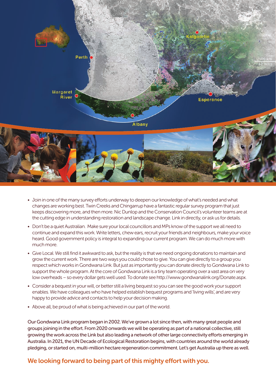

- Join in one of the many survey efforts underway to deepen our knowledge of what's needed and what changes are working best. Twin Creeks and Chingarrup have a fantastic regular survey program that just keeps discovering more, and then more. Nic Dunlop and the Conservation Council's volunteer teams are at the cutting edge in understanding restoration and landscape change. Link in directly, or ask us for details.
- Don't be a quiet Australian. Make sure your local councillors and MPs know of the support we all need to continue and expand this work. Write letters, chew ears, recruit your friends and neighbours, make your voice heard. Good government policy is integral to expanding our current program. We can do much more with much more.
- Give Local. We still find it awkward to ask, but the reality is that we need ongoing donations to maintain and grow the current work. There are two ways you could chose to give. You can give directly to a group you respect which works in Gondwana Link. But just as importantly you can donate directly to Gondwana Link to support the whole program. At the core of Gondwana Link is a tiny team operating over a vast area on very low overheads – so every dollar gets well used. To donate see http://www.gondwanalink.org/Donate.aspx.
- Consider a bequest in your will, or better still a living bequest so you can see the good work your support enables. We have colleagues who have helped establish bequest programs and 'living wills', and are very happy to provide advice and contacts to help your decision making.
- Above all, be proud of what is being achieved in our part of the world.

Our Gondwana Link program began in 2002. We've grown a lot since then, with many great people and groups joining in the effort. From 2020 onwards we will be operating as part of a national collective, still growing the work across the Link but also leading a network of other large connectivity efforts emerging in Australia. In 2021, the UN Decade of Ecological Restoration begins, with countries around the world already pledging, or started on, multi-million hectare regeneration commitment. Let's get Australia up there as well.

### We looking forward to being part of this mighty effort with you.